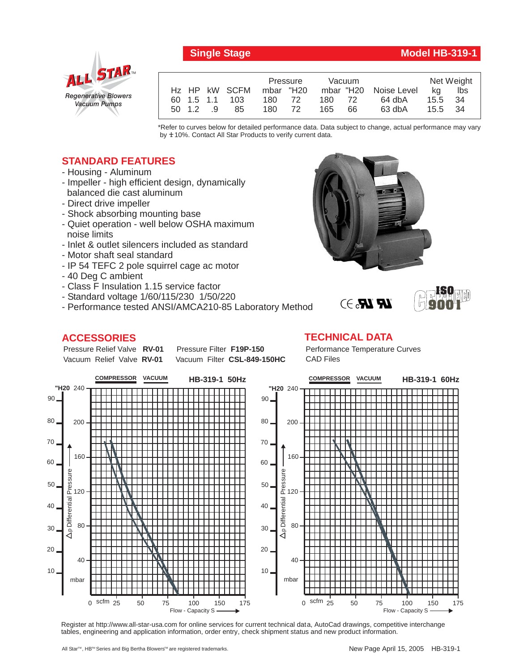

## *Regenerative Blowers Vacuum Pumps* ALL STAR

|  |          |                         | Pressure |  | Vacuum |     |                       | Net Weight |      |
|--|----------|-------------------------|----------|--|--------|-----|-----------------------|------------|------|
|  |          | Hz HP kW SCFM mbar "H20 |          |  |        |     | mbar "H20 Noise Level | ka         | lbs  |
|  |          | 60 1.5 1.1 103          | 180 72   |  | 180    | 72  | 64 dbA                | 15.5       | - 34 |
|  | 50 1.2 9 | 85                      | 180 72   |  | 165    | 66. | $63$ dbA              | 15.5 34    |      |
|  |          |                         |          |  |        |     |                       |            |      |

\*Refer to curves below for detailed performance data. Data subject to change, actual performance may vary by  $±10%$ . Contact All Star Products to verify current data.

## **STANDARD FEATURES**

- Housing Aluminum
- Impeller high efficient design, dynamically balanced die cast aluminum
- Direct drive impeller
- Shock absorbing mounting base
- Quiet operation well below OSHA maximum noise limits
- Inlet & outlet silencers included as standard
- Motor shaft seal standard
- IP 54 TEFC 2 pole squirrel cage ac motor
- 40 Deg C ambient
- Class F Insulation 1.15 service factor
- Standard voltage 1/60/115/230 1/50/220
- Performance tested ANSI/AMCA210-85 Laboratory Method

## **ACCESSORIES**



Pressure Relief Valve RV-01 Vacuum Relief Valve RV-01

**Pressure Filter F19P-150** Vacuum Filter CSL-849-150HC Performance Temperature Curves CAD Files



Register at http://www.all-star-usa.com for online services for current technical data, AutoCad drawings, competitive interchange tables, engineering and application information, order entry, check shipment status and new product information.

**ISO 9001**